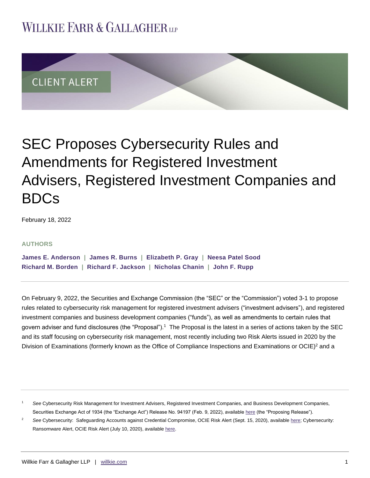## **WILLKIE FARR & GALLAGHERUP**



# SEC Proposes Cybersecurity Rules and Amendments for Registered Investment Advisers, Registered Investment Companies and BDCs

February 18, 2022

#### **AUTHORS**

**[James E. Anderson](https://www.willkie.com/professionals/a/anderson-james) | [James R. Burns](https://www.willkie.com/professionals/b/burns-james-r) | [Elizabeth P. Gray](https://www.willkie.com/professionals/g/gray-elizabeth-p) | [Neesa Patel Sood](https://www.willkie.com/professionals/s/sood-neesa) [Richard M. Borden](https://www.willkie.com/professionals/b/borden-rick) | [Richard F. Jackson](https://www.willkie.com/professionals/j/jackson-richard) | [Nicholas Chanin](https://www.willkie.com/professionals/c/chanin-nicholas) | [John F. Rupp](https://www.willkie.com/professionals/r/rupp-john)**

On February 9, 2022, the Securities and Exchange Commission (the "SEC" or the "Commission") voted 3-1 to propose rules related to cybersecurity risk management for registered investment advisers ("investment advisers"), and registered investment companies and business development companies ("funds"), as well as amendments to certain rules that govern adviser and fund disclosures (the "Proposal").<sup>1</sup> The Proposal is the latest in a series of actions taken by the SEC and its staff focusing on cybersecurity risk management, most recently including two Risk Alerts issued in 2020 by the Division of Examinations (formerly known as the Office of Compliance Inspections and Examinations or OCIE)<sup>2</sup> and a

<sup>1</sup> *See* Cybersecurity Risk Management for Investment Advisers, Registered Investment Companies, and Business Development Companies, Securities Exchange Act of 1934 (the "Exchange Act") Release No. 94197 (Feb. 9, 2022), availabl[e here](https://www.sec.gov/rules/proposed/2022/33-11028.pdf) (the "Proposing Release").

<sup>&</sup>lt;sup>2</sup> See Cybersecurity: Safeguarding Accounts against Credential Compromise, OCIE Risk Alert (Sept. 15, 2020), available [here;](https://www.sec.gov/files/Risk%20Alert%20-%20Credential%20Compromise.pdf) Cybersecurity: Ransomware Alert, OCIE Risk Alert (July 10, 2020), available here.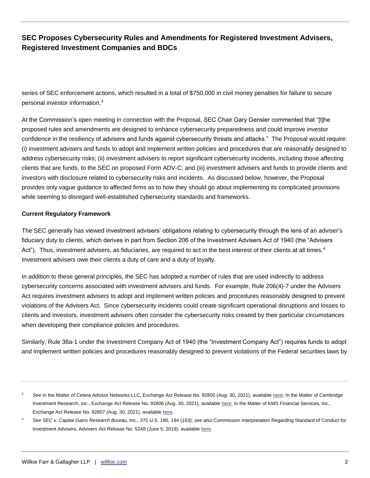series of SEC enforcement actions, which resulted in a total of \$750,000 in civil money penalties for failure to secure personal investor information.<sup>3</sup>

At the Commission's open meeting in connection with the Proposal, SEC Chair Gary Gensler commented that "[t]he proposed rules and amendments are designed to enhance cybersecurity preparedness and could improve investor confidence in the resiliency of advisers and funds against cybersecurity threats and attacks." The Proposal would require: (i) investment advisers and funds to adopt and implement written policies and procedures that are reasonably designed to address cybersecurity risks; (ii) investment advisers to report significant cybersecurity incidents, including those affecting clients that are funds, to the SEC on proposed Form ADV-C; and (iii) investment advisers and funds to provide clients and investors with disclosure related to cybersecurity risks and incidents. As discussed below, however, the Proposal provides only vague guidance to affected firms as to how they should go about implementing its complicated provisions while seeming to disregard well-established cybersecurity standards and frameworks.

#### **Current Regulatory Framework**

The SEC generally has viewed investment advisers' obligations relating to cybersecurity through the lens of an adviser's fiduciary duty to clients, which derives in part from Section 206 of the Investment Advisers Act of 1940 (the "Advisers Act"). Thus, investment advisers, as fiduciaries, are required to act in the best interest of their clients at all times.<sup>4</sup> Investment advisers owe their clients a duty of care and a duty of loyalty.

In addition to these general principles, the SEC has adopted a number of rules that are used indirectly to address cybersecurity concerns associated with investment advisers and funds. For example, Rule 206(4)-7 under the Advisers Act requires investment advisers to adopt and implement written policies and procedures reasonably designed to prevent violations of the Advisers Act. Since cybersecurity incidents could create significant operational disruptions and losses to clients and investors, investment advisers often consider the cybersecurity risks created by their particular circumstances when developing their compliance policies and procedures.

Similarly, Rule 38a-1 under the Investment Company Act of 1940 (the "Investment Company Act") requires funds to adopt and implement written policies and procedures reasonably designed to prevent violations of the Federal securities laws by

See In the Matter of Cetera Advisor Networks LLC, Exchange Act Release No. 92800 (Aug. 30, 2021), available [here;](https://www.sec.gov/litigation/admin/2021/34-92800.pdf) In the Matter of Cambridge Investment Research, Inc., Exchange Act Release No. 92806 (Aug. 30, 2021), available [here;](https://www.sec.gov/litigation/admin/2021/34-92806.pdf) In the Matter of KMS Financial Services, Inc., Exchange Act Release No. 92807 (Aug. 30, 2021), availabl[e here.](https://www.sec.gov/litigation/admin/2021/34-92807.pdf)

<sup>4</sup> *See SEC v. Capital Gains Research Bureau, Inc.,* 375 U.S. 180, 194 (163); *see also* Commission Interpretation Regarding Standard of Conduct for Investment Advisers, Advisers Act Release No. 5248 (June 5, 2019), available [here.](https://www.sec.gov/rules/interp/2019/ia-5248.pdf)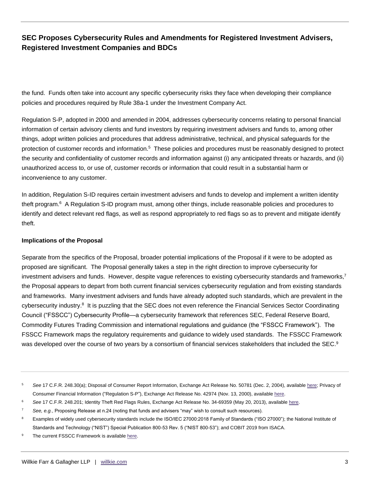the fund. Funds often take into account any specific cybersecurity risks they face when developing their compliance policies and procedures required by Rule 38a-1 under the Investment Company Act.

Regulation S-P, adopted in 2000 and amended in 2004, addresses cybersecurity concerns relating to personal financial information of certain advisory clients and fund investors by requiring investment advisers and funds to, among other things, adopt written policies and procedures that address administrative, technical, and physical safeguards for the protection of customer records and information.<sup>5</sup> These policies and procedures must be reasonably designed to protect the security and confidentiality of customer records and information against (i) any anticipated threats or hazards, and (ii) unauthorized access to, or use of, customer records or information that could result in a substantial harm or inconvenience to any customer.

In addition, Regulation S-ID requires certain investment advisers and funds to develop and implement a written identity theft program.<sup>6</sup> A Regulation S-ID program must, among other things, include reasonable policies and procedures to identify and detect relevant red flags, as well as respond appropriately to red flags so as to prevent and mitigate identify theft.

#### **Implications of the Proposal**

Separate from the specifics of the Proposal, broader potential implications of the Proposal if it were to be adopted as proposed are significant. The Proposal generally takes a step in the right direction to improve cybersecurity for investment advisers and funds. However, despite vague references to existing cybersecurity standards and frameworks,<sup>7</sup> the Proposal appears to depart from both current financial services cybersecurity regulation and from existing standards and frameworks. Many investment advisers and funds have already adopted such standards, which are prevalent in the cybersecurity industry.<sup>8</sup> It is puzzling that the SEC does not even reference the Financial Services Sector Coordinating Council ("FSSCC") Cybersecurity Profile—a cybersecurity framework that references SEC, Federal Reserve Board, Commodity Futures Trading Commission and international regulations and guidance (the "FSSCC Framework"). The FSSCC Framework maps the regulatory requirements and guidance to widely used standards. The FSSCC Framework was developed over the course of two years by a consortium of financial services stakeholders that included the SEC.<sup>9</sup>

- See 17 C.F.R. 248.30(a); Disposal of Consumer Report Information, Exchange Act Release No. 50781 (Dec. 2, 2004), availabl[e here;](https://www.sec.gov/rules/final/34-50781.htm) Privacy of Consumer Financial Information ("Regulation S-P"), Exchange Act Release No. 42974 (Nov. 13, 2000), available [here.](https://www.sec.gov/rules/final/34-42974.htm#P50_6508)
- See 17 C.F.R. 248.201; Identity Theft Red Flags Rules, Exchange Act Release No. 34-69359 (May 20, 2013), availabl[e here.](https://www.sec.gov/rules/final/2013/34-69359.pdf)
- See, e.g., Proposing Release at n.24 (noting that funds and advisers "may" wish to consult such resources).
- <sup>8</sup> Examples of widely used cybersecurity standards include the ISO/IEC 27000:2018 Family of Standards ("ISO 27000"); the National Institute of Standards and Technology ("NIST") Special Publication 800-53 Rev. 5 ("NIST 800-53"); and COBIT 2019 from ISACA.
- The current FSSCC Framework is available here.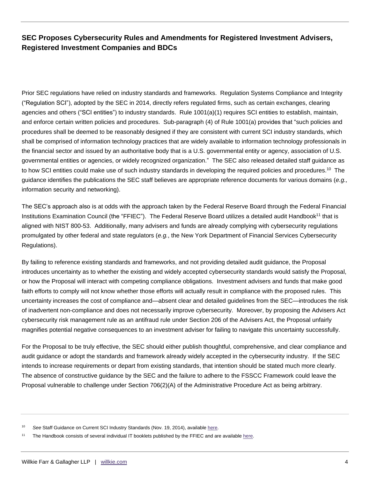Prior SEC regulations have relied on industry standards and frameworks. Regulation Systems Compliance and Integrity ("Regulation SCI"), adopted by the SEC in 2014, directly refers regulated firms, such as certain exchanges, clearing agencies and others ("SCI entities") to industry standards. Rule 1001(a)(1) requires SCI entities to establish, maintain, and enforce certain written policies and procedures. Sub-paragraph (4) of Rule 1001(a) provides that "such policies and procedures shall be deemed to be reasonably designed if they are consistent with current SCI industry standards, which shall be comprised of information technology practices that are widely available to information technology professionals in the financial sector and issued by an authoritative body that is a U.S. governmental entity or agency, association of U.S. governmental entities or agencies, or widely recognized organization." The SEC also released detailed staff guidance as to how SCI entities could make use of such industry standards in developing the required policies and procedures.<sup>10</sup> The guidance identifies the publications the SEC staff believes are appropriate reference documents for various domains (*e.g.,* information security and networking).

The SEC's approach also is at odds with the approach taken by the Federal Reserve Board through the Federal Financial Institutions Examination Council (the "FFIEC"). The Federal Reserve Board utilizes a detailed audit Handbook<sup>11</sup> that is aligned with NIST 800-53. Additionally, many advisers and funds are already complying with cybersecurity regulations promulgated by other federal and state regulators (*e.g.*, the New York Department of Financial Services Cybersecurity Regulations).

By failing to reference existing standards and frameworks, and not providing detailed audit guidance, the Proposal introduces uncertainty as to whether the existing and widely accepted cybersecurity standards would satisfy the Proposal, or how the Proposal will interact with competing compliance obligations. Investment advisers and funds that make good faith efforts to comply will not know whether those efforts will actually result in compliance with the proposed rules. This uncertainty increases the cost of compliance and—absent clear and detailed guidelines from the SEC—introduces the risk of inadvertent non-compliance and does not necessarily improve cybersecurity. Moreover, by proposing the Advisers Act cybersecurity risk management rule as an antifraud rule under Section 206 of the Advisers Act, the Proposal unfairly magnifies potential negative consequences to an investment adviser for failing to navigate this uncertainty successfully.

For the Proposal to be truly effective, the SEC should either publish thoughtful, comprehensive, and clear compliance and audit guidance or adopt the standards and framework already widely accepted in the cybersecurity industry. If the SEC intends to increase requirements or depart from existing standards, that intention should be stated much more clearly. The absence of constructive guidance by the SEC and the failure to adhere to the FSSCC Framework could leave the Proposal vulnerable to challenge under Section 706(2)(A) of the Administrative Procedure Act as being arbitrary.

See Staff Guidance on Current SCI Industry Standards (Nov. 19, 2014), available [here.](https://www.sec.gov/rules/final/2014/staff-guidance-current-sci-industry-standards.pdf)

<sup>&</sup>lt;sup>11</sup> The Handbook consists of several individual IT booklets published by the FFIEC and are availabl[e here.](https://ithandbook.ffiec.gov/it-booklets.aspx)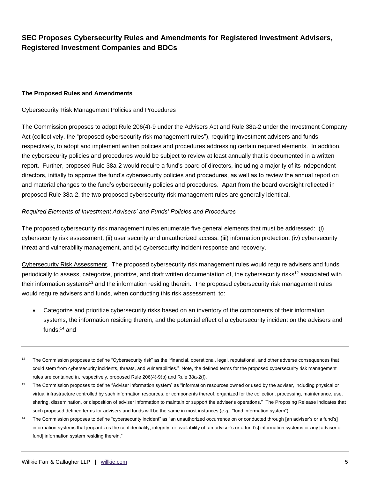#### **The Proposed Rules and Amendments**

#### Cybersecurity Risk Management Policies and Procedures

The Commission proposes to adopt Rule 206(4)-9 under the Advisers Act and Rule 38a-2 under the Investment Company Act (collectively, the "proposed cybersecurity risk management rules"), requiring investment advisers and funds, respectively, to adopt and implement written policies and procedures addressing certain required elements. In addition, the cybersecurity policies and procedures would be subject to review at least annually that is documented in a written report. Further, proposed Rule 38a-2 would require a fund's board of directors, including a majority of its independent directors, initially to approve the fund's cybersecurity policies and procedures, as well as to review the annual report on and material changes to the fund's cybersecurity policies and procedures. Apart from the board oversight reflected in proposed Rule 38a-2, the two proposed cybersecurity risk management rules are generally identical.

#### *Required Elements of Investment Advisers' and Funds' Policies and Procedures*

The proposed cybersecurity risk management rules enumerate five general elements that must be addressed: (i) cybersecurity risk assessment, (ii) user security and unauthorized access, (iii) information protection, (iv) cybersecurity threat and vulnerability management, and (v) cybersecurity incident response and recovery.

Cybersecurity Risk Assessment. The proposed cybersecurity risk management rules would require advisers and funds periodically to assess, categorize, prioritize, and draft written documentation of, the cybersecurity risks<sup>12</sup> associated with their information systems<sup>13</sup> and the information residing therein. The proposed cybersecurity risk management rules would require advisers and funds, when conducting this risk assessment, to:

- Categorize and prioritize cybersecurity risks based on an inventory of the components of their information systems, the information residing therein, and the potential effect of a cybersecurity incident on the advisers and funds;<sup>14</sup> and
- $12$  The Commission proposes to define "Cybersecurity risk" as the "financial, operational, legal, reputational, and other adverse consequences that could stem from cybersecurity incidents, threats, and vulnerabilities." Note, the defined terms for the proposed cybersecurity risk management rules are contained in, respectively, proposed Rule 206(4)-9(b) and Rule 38a-2(f).
- <sup>13</sup> The Commission proposes to define "Adviser information system" as "information resources owned or used by the adviser, including physical or virtual infrastructure controlled by such information resources, or components thereof, organized for the collection, processing, maintenance, use, sharing, dissemination, or disposition of adviser information to maintain or support the adviser's operations." The Proposing Release indicates that such proposed defined terms for advisers and funds will be the same in most instances (*e.g.,* "fund information system").
- <sup>14</sup> The Commission proposes to define "cybersecurity incident" as "an unauthorized occurrence on or conducted through [an adviser's or a fund's] information systems that jeopardizes the confidentiality, integrity, or availability of [an adviser's or a fund's] information systems or any [adviser or fund] information system residing therein."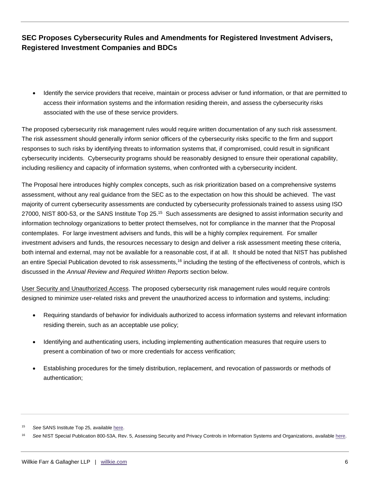Identify the service providers that receive, maintain or process adviser or fund information, or that are permitted to access their information systems and the information residing therein, and assess the cybersecurity risks associated with the use of these service providers.

The proposed cybersecurity risk management rules would require written documentation of any such risk assessment. The risk assessment should generally inform senior officers of the cybersecurity risks specific to the firm and support responses to such risks by identifying threats to information systems that, if compromised, could result in significant cybersecurity incidents. Cybersecurity programs should be reasonably designed to ensure their operational capability, including resiliency and capacity of information systems, when confronted with a cybersecurity incident.

The Proposal here introduces highly complex concepts, such as risk prioritization based on a comprehensive systems assessment, without any real guidance from the SEC as to the expectation on how this should be achieved. The vast majority of current cybersecurity assessments are conducted by cybersecurity professionals trained to assess using ISO 27000, NIST 800-53, or the SANS Institute Top 25.<sup>15</sup> Such assessments are designed to assist information security and information technology organizations to better protect themselves, not for compliance in the manner that the Proposal contemplates. For large investment advisers and funds, this will be a highly complex requirement. For smaller investment advisers and funds, the resources necessary to design and deliver a risk assessment meeting these criteria, both internal and external, may not be available for a reasonable cost, if at all. It should be noted that NIST has published an entire Special Publication devoted to risk assessments,<sup>16</sup> including the testing of the effectiveness of controls, which is discussed in the *Annual Review and Required Written Reports* section below.

User Security and Unauthorized Access. The proposed cybersecurity risk management rules would require controls designed to minimize user-related risks and prevent the unauthorized access to information and systems, including:

- Requiring standards of behavior for individuals authorized to access information systems and relevant information residing therein, such as an acceptable use policy;
- Identifying and authenticating users, including implementing authentication measures that require users to present a combination of two or more credentials for access verification;
- Establishing procedures for the timely distribution, replacement, and revocation of passwords or methods of authentication;

See SANS Institute Top 25, available [here.](https://www.sans.org/blog/top-25-series-summary-and-links/)

<sup>16</sup> *See* NIST Special Publication 800-53A, Rev. 5, Assessing Security and Privacy Controls in Information Systems and Organizations, available [here.](https://nvlpubs.nist.gov/nistpubs/SpecialPublications/NIST.SP.800-53Ar5.pdf)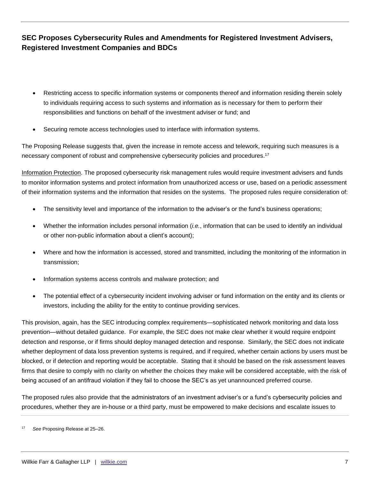- Restricting access to specific information systems or components thereof and information residing therein solely to individuals requiring access to such systems and information as is necessary for them to perform their responsibilities and functions on behalf of the investment adviser or fund; and
- Securing remote access technologies used to interface with information systems.

The Proposing Release suggests that, given the increase in remote access and telework, requiring such measures is a necessary component of robust and comprehensive cybersecurity policies and procedures.<sup>17</sup>

Information Protection. The proposed cybersecurity risk management rules would require investment advisers and funds to monitor information systems and protect information from unauthorized access or use, based on a periodic assessment of their information systems and the information that resides on the systems. The proposed rules require consideration of:

- The sensitivity level and importance of the information to the adviser's or the fund's business operations;
- Whether the information includes personal information (*i.e.*, information that can be used to identify an individual or other non-public information about a client's account);
- Where and how the information is accessed, stored and transmitted, including the monitoring of the information in transmission;
- Information systems access controls and malware protection; and
- The potential effect of a cybersecurity incident involving adviser or fund information on the entity and its clients or investors, including the ability for the entity to continue providing services.

This provision, again, has the SEC introducing complex requirements—sophisticated network monitoring and data loss prevention—without detailed guidance. For example, the SEC does not make clear whether it would require endpoint detection and response, or if firms should deploy managed detection and response. Similarly, the SEC does not indicate whether deployment of data loss prevention systems is required, and if required, whether certain actions by users must be blocked, or if detection and reporting would be acceptable. Stating that it should be based on the risk assessment leaves firms that desire to comply with no clarity on whether the choices they make will be considered acceptable, with the risk of being accused of an antifraud violation if they fail to choose the SEC's as yet unannounced preferred course.

The proposed rules also provide that the administrators of an investment adviser's or a fund's cybersecurity policies and procedures, whether they are in-house or a third party, must be empowered to make decisions and escalate issues to

<sup>17</sup> *See* Proposing Release at 25–26.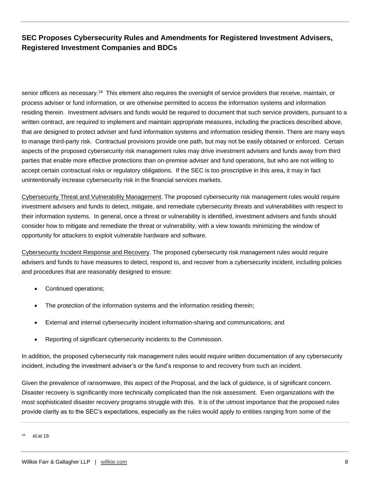senior officers as necessary.<sup>18</sup> This element also requires the oversight of service providers that receive, maintain, or process adviser or fund information, or are otherwise permitted to access the information systems and information residing therein. Investment advisers and funds would be required to document that such service providers, pursuant to a written contract, are required to implement and maintain appropriate measures, including the practices described above, that are designed to protect adviser and fund information systems and information residing therein. There are many ways to manage third-party risk. Contractual provisions provide one path, but may not be easily obtained or enforced. Certain aspects of the proposed cybersecurity risk management rules may drive investment advisers and funds away from third parties that enable more effective protections than on-premise adviser and fund operations, but who are not willing to accept certain contractual risks or regulatory obligations. If the SEC is too proscriptive in this area, it may in fact unintentionally increase cybersecurity risk in the financial services markets.

Cybersecurity Threat and Vulnerability Management. The proposed cybersecurity risk management rules would require investment advisers and funds to detect, mitigate, and remediate cybersecurity threats and vulnerabilities with respect to their information systems. In general, once a threat or vulnerability is identified, investment advisers and funds should consider how to mitigate and remediate the threat or vulnerability, with a view towards minimizing the window of opportunity for attackers to exploit vulnerable hardware and software.

Cybersecurity Incident Response and Recovery. The proposed cybersecurity risk management rules would require advisers and funds to have measures to detect, respond to, and recover from a cybersecurity incident, including policies and procedures that are reasonably designed to ensure:

- Continued operations;
- The protection of the information systems and the information residing therein;
- External and internal cybersecurity incident information-sharing and communications; and
- Reporting of significant cybersecurity incidents to the Commission.

In addition, the proposed cybersecurity risk management rules would require written documentation of any cybersecurity incident, including the investment adviser's or the fund's response to and recovery from such an incident.

Given the prevalence of ransomware, this aspect of the Proposal, and the lack of guidance, is of significant concern. Disaster recovery is significantly more technically complicated than the risk assessment. Even organizations with the most sophisticated disaster recovery programs struggle with this. It is of the utmost importance that the proposed rules provide clarity as to the SEC's expectations, especially as the rules would apply to entities ranging from some of the

<sup>18</sup> *Id.*at 19.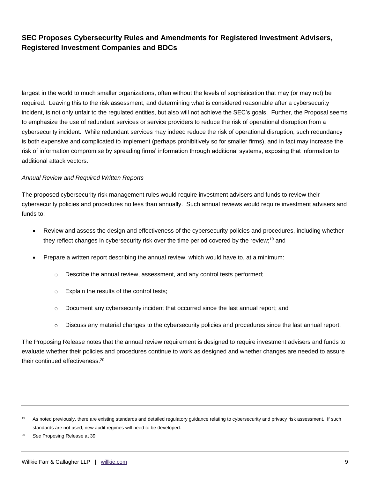largest in the world to much smaller organizations, often without the levels of sophistication that may (or may not) be required. Leaving this to the risk assessment, and determining what is considered reasonable after a cybersecurity incident, is not only unfair to the regulated entities, but also will not achieve the SEC's goals. Further, the Proposal seems to emphasize the use of redundant services or service providers to reduce the risk of operational disruption from a cybersecurity incident. While redundant services may indeed reduce the risk of operational disruption, such redundancy is both expensive and complicated to implement (perhaps prohibitively so for smaller firms), and in fact may increase the risk of information compromise by spreading firms' information through additional systems, exposing that information to additional attack vectors.

#### *Annual Review and Required Written Reports*

The proposed cybersecurity risk management rules would require investment advisers and funds to review their cybersecurity policies and procedures no less than annually. Such annual reviews would require investment advisers and funds to:

- Review and assess the design and effectiveness of the cybersecurity policies and procedures, including whether they reflect changes in cybersecurity risk over the time period covered by the review;<sup>19</sup> and
- Prepare a written report describing the annual review, which would have to, at a minimum:
	- $\circ$  Describe the annual review, assessment, and any control tests performed;
	- o Explain the results of the control tests;
	- o Document any cybersecurity incident that occurred since the last annual report; and
	- $\circ$  Discuss any material changes to the cybersecurity policies and procedures since the last annual report.

The Proposing Release notes that the annual review requirement is designed to require investment advisers and funds to evaluate whether their policies and procedures continue to work as designed and whether changes are needed to assure their continued effectiveness.<sup>20</sup>

<sup>&</sup>lt;sup>19</sup> As noted previously, there are existing standards and detailed regulatory guidance relating to cybersecurity and privacy risk assessment. If such standards are not used, new audit regimes will need to be developed.

<sup>20</sup> *See* Proposing Release at 39.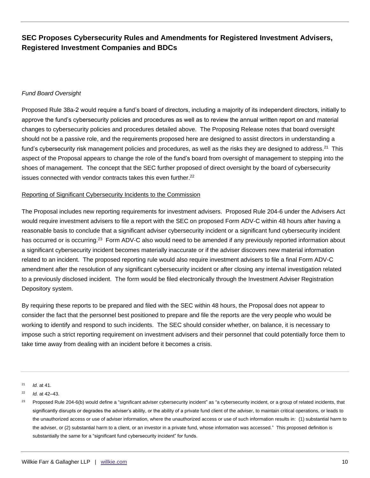#### *Fund Board Oversight*

Proposed Rule 38a-2 would require a fund's board of directors, including a majority of its independent directors, initially to approve the fund's cybersecurity policies and procedures as well as to review the annual written report on and material changes to cybersecurity policies and procedures detailed above. The Proposing Release notes that board oversight should not be a passive role, and the requirements proposed here are designed to assist directors in understanding a fund's cybersecurity risk management policies and procedures, as well as the risks they are designed to address.<sup>21</sup> This aspect of the Proposal appears to change the role of the fund's board from oversight of management to stepping into the shoes of management. The concept that the SEC further proposed of direct oversight by the board of cybersecurity issues connected with vendor contracts takes this even further.<sup>22</sup>

#### Reporting of Significant Cybersecurity Incidents to the Commission

The Proposal includes new reporting requirements for investment advisers. Proposed Rule 204-6 under the Advisers Act would require investment advisers to file a report with the SEC on proposed Form ADV-C within 48 hours after having a reasonable basis to conclude that a significant adviser cybersecurity incident or a significant fund cybersecurity incident has occurred or is occurring.<sup>23</sup> Form ADV-C also would need to be amended if any previously reported information about a significant cybersecurity incident becomes materially inaccurate or if the adviser discovers new material information related to an incident. The proposed reporting rule would also require investment advisers to file a final Form ADV-C amendment after the resolution of any significant cybersecurity incident or after closing any internal investigation related to a previously disclosed incident. The form would be filed electronically through the Investment Adviser Registration Depository system.

By requiring these reports to be prepared and filed with the SEC within 48 hours, the Proposal does not appear to consider the fact that the personnel best positioned to prepare and file the reports are the very people who would be working to identify and respond to such incidents. The SEC should consider whether, on balance, it is necessary to impose such a strict reporting requirement on investment advisers and their personnel that could potentially force them to take time away from dealing with an incident before it becomes a crisis.

<sup>21</sup> *Id.* at 41.

<sup>22</sup> *Id.* at 42–43.

<sup>&</sup>lt;sup>23</sup> Proposed Rule 204-6(b) would define a "significant adviser cybersecurity incident" as "a cybersecurity incident, or a group of related incidents, that significantly disrupts or degrades the adviser's ability, or the ability of a private fund client of the adviser, to maintain critical operations, or leads to the unauthorized access or use of adviser information, where the unauthorized access or use of such information results in: (1) substantial harm to the adviser, or (2) substantial harm to a client, or an investor in a private fund, whose information was accessed." This proposed definition is substantially the same for a "significant fund cybersecurity incident" for funds.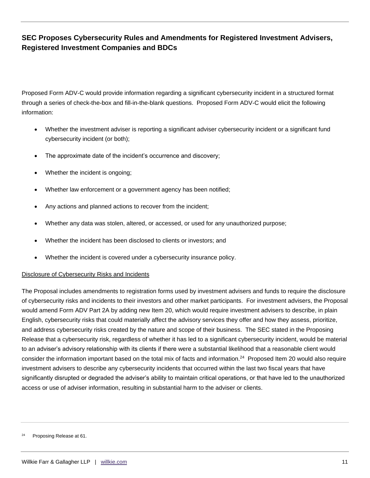Proposed Form ADV-C would provide information regarding a significant cybersecurity incident in a structured format through a series of check-the-box and fill-in-the-blank questions. Proposed Form ADV-C would elicit the following information:

- Whether the investment adviser is reporting a significant adviser cybersecurity incident or a significant fund cybersecurity incident (or both);
- The approximate date of the incident's occurrence and discovery;
- Whether the incident is ongoing;
- Whether law enforcement or a government agency has been notified;
- Any actions and planned actions to recover from the incident;
- Whether any data was stolen, altered, or accessed, or used for any unauthorized purpose;
- Whether the incident has been disclosed to clients or investors; and
- Whether the incident is covered under a cybersecurity insurance policy.

#### Disclosure of Cybersecurity Risks and Incidents

The Proposal includes amendments to registration forms used by investment advisers and funds to require the disclosure of cybersecurity risks and incidents to their investors and other market participants. For investment advisers, the Proposal would amend Form ADV Part 2A by adding new Item 20, which would require investment advisers to describe, in plain English, cybersecurity risks that could materially affect the advisory services they offer and how they assess, prioritize, and address cybersecurity risks created by the nature and scope of their business. The SEC stated in the Proposing Release that a cybersecurity risk, regardless of whether it has led to a significant cybersecurity incident, would be material to an adviser's advisory relationship with its clients if there were a substantial likelihood that a reasonable client would consider the information important based on the total mix of facts and information.<sup>24</sup> Proposed Item 20 would also require investment advisers to describe any cybersecurity incidents that occurred within the last two fiscal years that have significantly disrupted or degraded the adviser's ability to maintain critical operations, or that have led to the unauthorized access or use of adviser information, resulting in substantial harm to the adviser or clients.

Proposing Release at 61.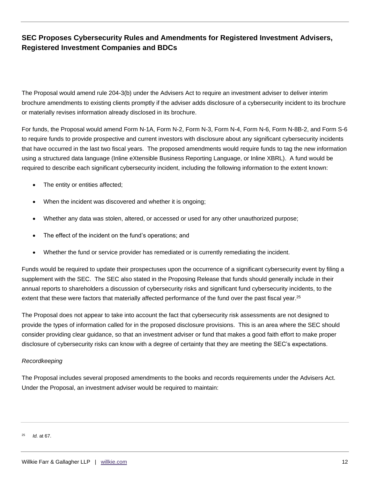The Proposal would amend rule 204-3(b) under the Advisers Act to require an investment adviser to deliver interim brochure amendments to existing clients promptly if the adviser adds disclosure of a cybersecurity incident to its brochure or materially revises information already disclosed in its brochure.

For funds, the Proposal would amend Form N-1A, Form N-2, Form N-3, Form N-4, Form N-6, Form N-8B-2, and Form S-6 to require funds to provide prospective and current investors with disclosure about any significant cybersecurity incidents that have occurred in the last two fiscal years. The proposed amendments would require funds to tag the new information using a structured data language (Inline eXtensible Business Reporting Language, or Inline XBRL). A fund would be required to describe each significant cybersecurity incident, including the following information to the extent known:

- The entity or entities affected;
- When the incident was discovered and whether it is ongoing;
- Whether any data was stolen, altered, or accessed or used for any other unauthorized purpose;
- The effect of the incident on the fund's operations; and
- Whether the fund or service provider has remediated or is currently remediating the incident.

Funds would be required to update their prospectuses upon the occurrence of a significant cybersecurity event by filing a supplement with the SEC. The SEC also stated in the Proposing Release that funds should generally include in their annual reports to shareholders a discussion of cybersecurity risks and significant fund cybersecurity incidents, to the extent that these were factors that materially affected performance of the fund over the past fiscal year.<sup>25</sup>

The Proposal does not appear to take into account the fact that cybersecurity risk assessments are not designed to provide the types of information called for in the proposed disclosure provisions. This is an area where the SEC should consider providing clear guidance, so that an investment adviser or fund that makes a good faith effort to make proper disclosure of cybersecurity risks can know with a degree of certainty that they are meeting the SEC's expectations.

#### *Recordkeeping*

The Proposal includes several proposed amendments to the books and records requirements under the Advisers Act. Under the Proposal, an investment adviser would be required to maintain:

<sup>25</sup> *Id.* at 67.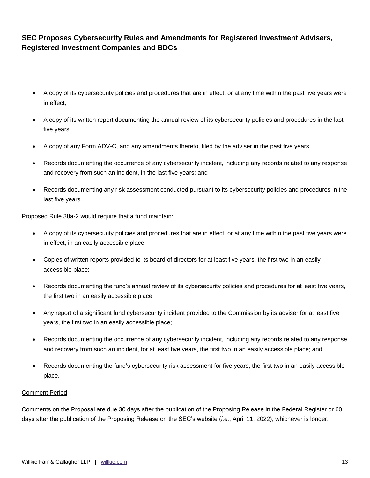- A copy of its cybersecurity policies and procedures that are in effect, or at any time within the past five years were in effect;
- A copy of its written report documenting the annual review of its cybersecurity policies and procedures in the last five years;
- A copy of any Form ADV-C, and any amendments thereto, filed by the adviser in the past five years;
- Records documenting the occurrence of any cybersecurity incident, including any records related to any response and recovery from such an incident, in the last five years; and
- Records documenting any risk assessment conducted pursuant to its cybersecurity policies and procedures in the last five years.

Proposed Rule 38a-2 would require that a fund maintain:

- A copy of its cybersecurity policies and procedures that are in effect, or at any time within the past five years were in effect, in an easily accessible place;
- Copies of written reports provided to its board of directors for at least five years, the first two in an easily accessible place;
- Records documenting the fund's annual review of its cybersecurity policies and procedures for at least five years, the first two in an easily accessible place;
- Any report of a significant fund cybersecurity incident provided to the Commission by its adviser for at least five years, the first two in an easily accessible place;
- Records documenting the occurrence of any cybersecurity incident, including any records related to any response and recovery from such an incident, for at least five years, the first two in an easily accessible place; and
- Records documenting the fund's cybersecurity risk assessment for five years, the first two in an easily accessible place.

#### Comment Period

Comments on the Proposal are due 30 days after the publication of the Proposing Release in the Federal Register or 60 days after the publication of the Proposing Release on the SEC's website (*i.e.*, April 11, 2022), whichever is longer.